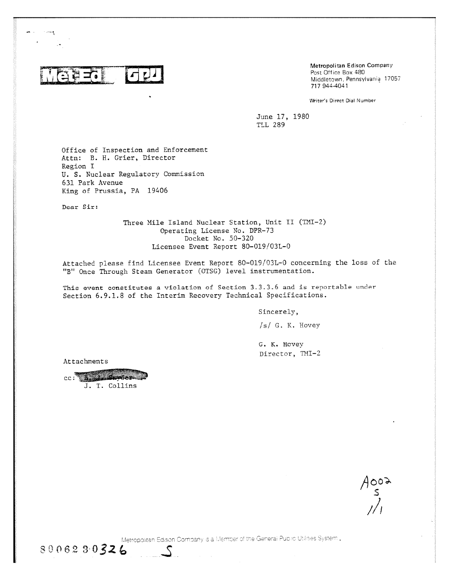

Metropolitan Edison Company Post Office Box 480 Middletown, Pennsylvania 17057 717 944-4041

Writer's Direct Dial Number

June 17, 1980 TLL 289

Office of Inspection and Enforcement Attn: B. H. Grier, Director Region I U. S. Nuclear Regulatory Commission 631 Park Avenue King of Prussia, PA 19406

•

Dear Sir:

Three Mile Island Nuclear Station, Unit II (TMI-2) Operating License No. DPR-73 Docket No. 50-320 Licensee Event Report 80-019/03L-0

Attached please find Licensee Event Report 80-019/03L-0 concerning the loss of the "B" Once Through Steam Generator (OTSG) level instrumentation.

This event constitutes a violation of Section  $3.3.3.6$  and is reportable under Section 6.9.1.8 of the Interim Recovery Technical Specifications.

Sincerely,

/s/ G. K. Hovey

G. K. Hovey Director, TMI-2

Attachments

8006230326

 $cc: 3.111$ J. T. Collins

 $A$ ood<br>,,,,

Metropolitan Edison Company is a Member of the General Public Utilities System,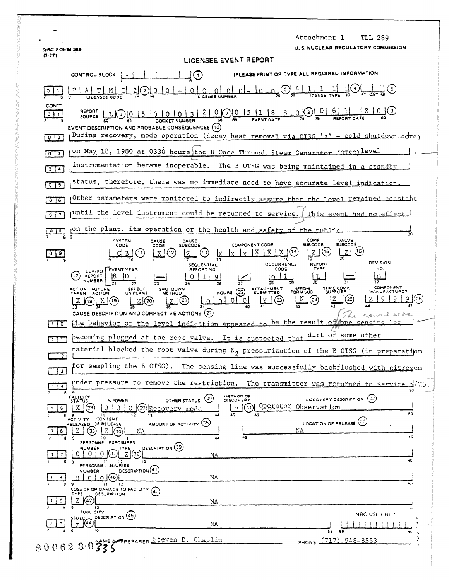|                                                                                                                                                                                                                                                                                                                                                                                                                                                                                                                  | Attachment 1<br>TLL 289                                                                                                          |
|------------------------------------------------------------------------------------------------------------------------------------------------------------------------------------------------------------------------------------------------------------------------------------------------------------------------------------------------------------------------------------------------------------------------------------------------------------------------------------------------------------------|----------------------------------------------------------------------------------------------------------------------------------|
| U.S. NUCLEAR REGULATORY COMMISSION<br>MAC FORM 366<br>17.771<br>LICENSEE EVENT REPORT                                                                                                                                                                                                                                                                                                                                                                                                                            |                                                                                                                                  |
| CONTROL BLOCK: { A<br>$\left(1\right)$                                                                                                                                                                                                                                                                                                                                                                                                                                                                           | (PLEASE PRINT OR TYPE ALL REQUIRED INFORMATION)                                                                                  |
| $0-1000$<br>$\cap$<br>n l                                                                                                                                                                                                                                                                                                                                                                                                                                                                                        |                                                                                                                                  |
| CON'T<br>$\frac{1}{2}$ $\frac{1}{2}$ $\frac{1}{2}$ $\frac{1}{2}$ $\frac{1}{2}$ $\frac{1}{2}$ $\frac{1}{2}$ $\frac{1}{2}$ $\frac{1}{2}$ $\frac{1}{2}$ $\frac{1}{2}$ $\frac{1}{2}$ $\frac{1}{2}$ $\frac{1}{2}$ $\frac{1}{2}$ $\frac{1}{2}$ $\frac{1}{2}$ $\frac{1}{2}$ $\frac{1}{2}$ $\frac{1}{2}$ $\frac{1}{2}$ $\frac{1}{2}$<br>REPORT<br>0<br>SOURCE L<br>EVENT DESCRIPTION AND PROBABLE CONSEQUENCES (10)<br>During recovery, mode operation (decay heat removal via OTSG 'A' - cold shutdown core)<br>$0$   2 |                                                                                                                                  |
| on May 18, 1980 at 0330 hours the B Once Through Steam Generator (OTSG) level<br>013                                                                                                                                                                                                                                                                                                                                                                                                                             |                                                                                                                                  |
| instrumentation became inoperable.<br>The B OTSG was being maintained in a standby<br>0(4                                                                                                                                                                                                                                                                                                                                                                                                                        |                                                                                                                                  |
| status, therefore, there was no immediate need to have accurate level indication.<br>015                                                                                                                                                                                                                                                                                                                                                                                                                         |                                                                                                                                  |
| Other parameters were monitored to indirectly assure that the level remained constant<br>$\circ$<br>6                                                                                                                                                                                                                                                                                                                                                                                                            |                                                                                                                                  |
| until the level instrument could be returned to service.<br>$\overline{7}$<br>$\circ$ i                                                                                                                                                                                                                                                                                                                                                                                                                          | This event had no effect                                                                                                         |
| on the plant, its operation or the health and safety of the public<br>s.<br>80                                                                                                                                                                                                                                                                                                                                                                                                                                   |                                                                                                                                  |
| SYSTEM<br>CAUSE<br>CAUSE<br>COMPONENT CODE<br><b>SUBCODE</b><br>CODE<br>CODE<br> X X<br>(13)<br>(12)<br>$\mathbf{v}$<br>OCCURRENCE<br><b>SEQUENTIAL</b><br>CODE<br>LER/RO EVENT YEAR<br>REPORT NO.                                                                                                                                                                                                                                                                                                               | COMP.<br>VALVE<br><b>SUBCODE</b><br><b>SUBCODE</b><br>(15)<br>(16)<br>1(14)<br>19<br>REVISION<br>REPORT<br>TYPE<br>NO.           |
| REPORT<br>17<br>NUMBER<br>ATTACHMENT<br>SUSMITTED<br>ACTION FUTURE<br>EFFECT<br>ON PLANT<br>SHUTDOWN<br>$HOUNS$ $(22)$<br><b>TAKEN</b><br><b>ACTION</b><br><b>METHOD</b><br>(23)<br>(21<br>0 I<br>- 0-<br>CAUSE DESCRIPTION AND CORRECTIVE ACTIONS (27)<br>The behavior of the level indication appeared to be the result of one sensing                                                                                                                                                                         | $^{\circ}$<br>COMPONENT<br>PRIME COMP.<br>NPRD-4<br>FORM SUB.<br><b>SUPPLIER</b><br><b>WANUFACTURES</b><br>z<br>N<br>(25<br>(24) |
| $\overline{1}$<br>becoming plugged at the root valve. It is suspected that dirt or some other<br>$\overline{1}$                                                                                                                                                                                                                                                                                                                                                                                                  |                                                                                                                                  |
| material blocked the root valve during N <sub>2</sub> pressurization of the B OTSG (in preparation<br>$1 \mid 2 \mid$                                                                                                                                                                                                                                                                                                                                                                                            |                                                                                                                                  |
| for sampling the B OTSG). The sensing line was successfully backflushed with nitrogen<br>$\mathbf{3}$                                                                                                                                                                                                                                                                                                                                                                                                            |                                                                                                                                  |
| under pressure to remove the restriction.<br>The transmitter was returned<br>5/25.<br>to service.<br>$\sqrt{4}$                                                                                                                                                                                                                                                                                                                                                                                                  |                                                                                                                                  |
| - 9<br>METHOD OF<br>DISCOVERY<br>FACILITY<br>(39)<br>OTHER STATUS<br><b>XPOWER</b><br><b>STATUS</b><br>(29) Recovery mode<br>Х<br>(28<br>$\Omega$<br>$\theta$<br>5.<br>O<br>$\mathcal{R}$                                                                                                                                                                                                                                                                                                                        | 80<br>(32)<br>DISCOVERY DESCRIPTION<br>(31) Operator Observation                                                                 |
| 45<br>46<br>10<br>17<br><b>CONTENT</b><br><b>ACTIVITY</b><br>AMOUNT OF ACTIVITY (35)<br>RELEASED OF RELEASE<br>[33]<br>NΑ<br>6<br>45<br>٩                                                                                                                                                                                                                                                                                                                                                                        | 30<br>LOCATION OF RELEASE (36)<br>NA<br>30                                                                                       |
| 10<br>PERSONNEL EXPOSURES<br><b>DESCRIPTION</b> (39)<br>NUMBER<br>TYPE<br>$\vert (37) \vert$<br>Z(38)                                                                                                                                                                                                                                                                                                                                                                                                            |                                                                                                                                  |
| ΝA<br>13<br>$\mathbf{11}$<br>PERSONNEL INJURIES<br>DESCRIPTION <sup>(41)</sup>                                                                                                                                                                                                                                                                                                                                                                                                                                   | 80                                                                                                                               |
| NUMBER<br>NA<br>12<br>9                                                                                                                                                                                                                                                                                                                                                                                                                                                                                          | fer)                                                                                                                             |
| LOSS OF OR DAMAGE TO FACILITY (43)<br>TYPE<br><b>DESCRIPTION</b><br>'42<br>9.<br>NA                                                                                                                                                                                                                                                                                                                                                                                                                              |                                                                                                                                  |
| 10<br><b>PUBLICITY</b><br>DESCRIPTION (45)<br>155UEU                                                                                                                                                                                                                                                                                                                                                                                                                                                             | hi i<br>NRC USE ONLY                                                                                                             |
| NΑ<br>0                                                                                                                                                                                                                                                                                                                                                                                                                                                                                                          | 69<br>68<br>ЖG                                                                                                                   |
| NAME OF PREPARER Steven D. Chaplin<br>PHONE: (717) 948-8553<br>80062<br>$3\cdot$<br>32 S                                                                                                                                                                                                                                                                                                                                                                                                                         |                                                                                                                                  |

 $\hat{\mathcal{S}}$